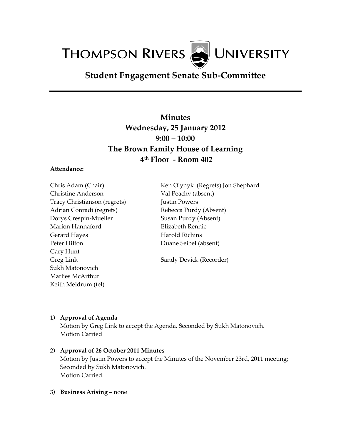**THOMPSON RIVERS WE UNIVERSITY** 

# **Student Engagement Senate Sub-Committee**

# **Minutes Wednesday, 25 January 2012 9:00 – 10:00 The Brown Family House of Learning 4 th Floor - Room 402**

### **Attendance:**

Chris Adam (Chair) Christine Anderson Tracy Christianson (regrets) Adrian Conradi (regrets) Dorys Crespin-Mueller Marion Hannaford Gerard Hayes Peter Hilton Gary Hunt Greg Link Sukh Matonovich Marlies McArthur Keith Meldrum (tel)

Ken Olynyk (Regrets) Jon Shephard Val Peachy (absent) Justin Powers Rebecca Purdy (Absent) Susan Purdy (Absent) Elizabeth Rennie Harold Richins Duane Seibel (absent)

Sandy Devick (Recorder)

## **1) Approval of Agenda**

Motion by Greg Link to accept the Agenda, Seconded by Sukh Matonovich. Motion Carried

## **2) Approval of 26 October 2011 Minutes**

Motion by Justin Powers to accept the Minutes of the November 23rd, 2011 meeting; Seconded by Sukh Matonovich. Motion Carried.

#### **3) Business Arising –** none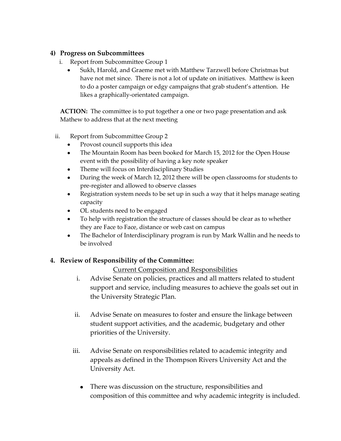## **4) Progress on Subcommittees**

- i. Report from Subcommittee Group 1
	- Sukh, Harold, and Graeme met with Matthew Tarzwell before Christmas but have not met since. There is not a lot of update on initiatives. Matthew is keen to do a poster campaign or edgy campaigns that grab student's attention. He likes a graphically-orientated campaign.

**ACTION:** The committee is to put together a one or two page presentation and ask Mathew to address that at the next meeting

- ii. Report from Subcommittee Group 2
	- Provost council supports this idea
	- The Mountain Room has been booked for March 15, 2012 for the Open House event with the possibility of having a key note speaker
	- $\bullet$ Theme will focus on Interdisciplinary Studies
	- During the week of March 12, 2012 there will be open classrooms for students to  $\bullet$ pre-register and allowed to observe classes
	- Registration system needs to be set up in such a way that it helps manage seating  $\bullet$ capacity
	- OL students need to be engaged
	- To help with registration the structure of classes should be clear as to whether they are Face to Face, distance or web cast on campus
	- $\bullet$ The Bachelor of Interdisciplinary program is run by Mark Wallin and he needs to be involved

# **4. Review of Responsibility of the Committee:**

# Current Composition and Responsibilities

- i. Advise Senate on policies, practices and all matters related to student support and service, including measures to achieve the goals set out in the University Strategic Plan.
- ii. Advise Senate on measures to foster and ensure the linkage between student support activities, and the academic, budgetary and other priorities of the University.
- iii. Advise Senate on responsibilities related to academic integrity and appeals as defined in the Thompson Rivers University Act and the University Act.
	- There was discussion on the structure, responsibilities and  $\bullet$ composition of this committee and why academic integrity is included.